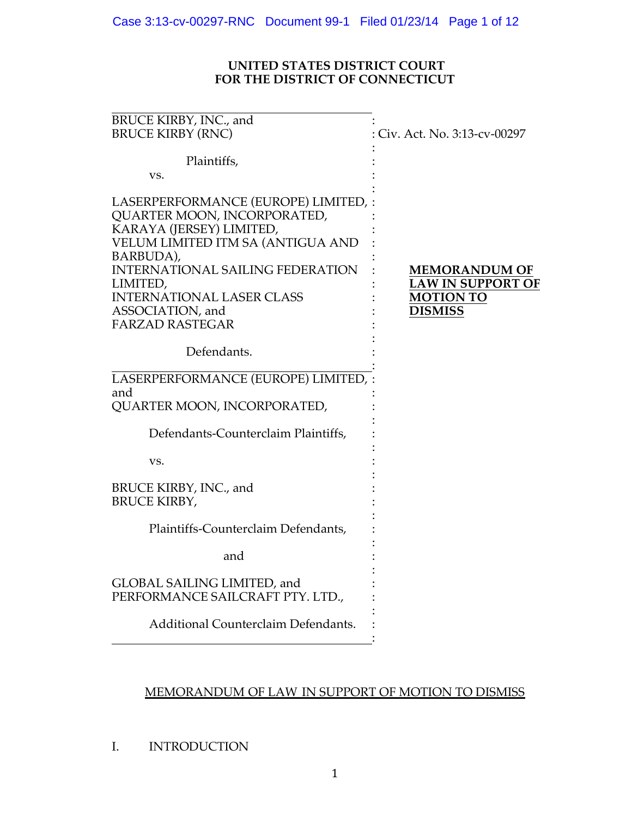## **UNITED STATES DISTRICT COURT FOR THE DISTRICT OF CONNECTICUT**

| BRUCE KIRBY, INC., and<br><b>BRUCE KIRBY (RNC)</b>                                                                                                                                                                                                                                       | : Civ. Act. No. 3:13-cv-00297                                                          |
|------------------------------------------------------------------------------------------------------------------------------------------------------------------------------------------------------------------------------------------------------------------------------------------|----------------------------------------------------------------------------------------|
| Plaintiffs,<br>VS.                                                                                                                                                                                                                                                                       |                                                                                        |
| LASERPERFORMANCE (EUROPE) LIMITED,<br>QUARTER MOON, INCORPORATED,<br>KARAYA (JERSEY) LIMITED,<br>VELUM LIMITED ITM SA (ANTIGUA AND<br>BARBUDA),<br><b>INTERNATIONAL SAILING FEDERATION</b><br>LIMITED,<br><b>INTERNATIONAL LASER CLASS</b><br>ASSOCIATION, and<br><b>FARZAD RASTEGAR</b> | <b>MEMORANDUM OF</b><br><b>LAW IN SUPPORT OF</b><br><b>MOTION TO</b><br><b>DISMISS</b> |
| Defendants.                                                                                                                                                                                                                                                                              |                                                                                        |
| LASERPERFORMANCE (EUROPE) LIMITED, :<br>and<br>QUARTER MOON, INCORPORATED,                                                                                                                                                                                                               |                                                                                        |
| Defendants-Counterclaim Plaintiffs,                                                                                                                                                                                                                                                      |                                                                                        |
| VS.                                                                                                                                                                                                                                                                                      |                                                                                        |
| BRUCE KIRBY, INC., and<br><b>BRUCE KIRBY,</b>                                                                                                                                                                                                                                            |                                                                                        |
| Plaintiffs-Counterclaim Defendants,                                                                                                                                                                                                                                                      |                                                                                        |
| and                                                                                                                                                                                                                                                                                      |                                                                                        |
| GLOBAL SAILING LIMITED, and<br>PERFORMANCE SAILCRAFT PTY. LTD.,                                                                                                                                                                                                                          |                                                                                        |
| Additional Counterclaim Defendants.                                                                                                                                                                                                                                                      |                                                                                        |

# MEMORANDUM OF LAW IN SUPPORT OF MOTION TO DISMISS

I. INTRODUCTION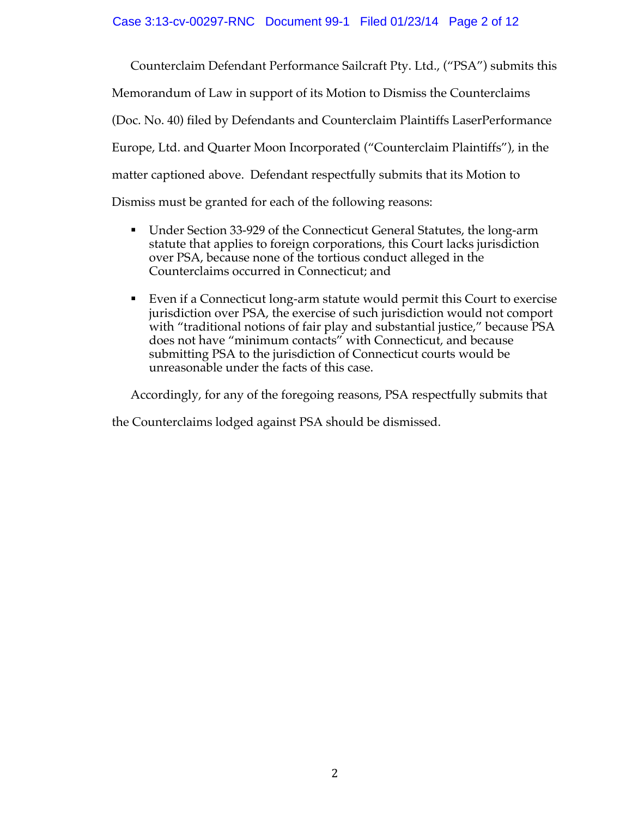Counterclaim Defendant Performance Sailcraft Pty. Ltd., ("PSA") submits this Memorandum of Law in support of its Motion to Dismiss the Counterclaims (Doc. No. 40) filed by Defendants and Counterclaim Plaintiffs LaserPerformance Europe, Ltd. and Quarter Moon Incorporated ("Counterclaim Plaintiffs"), in the matter captioned above. Defendant respectfully submits that its Motion to Dismiss must be granted for each of the following reasons:

- ! Under Section 33-929 of the Connecticut General Statutes, the long-arm statute that applies to foreign corporations, this Court lacks jurisdiction over PSA, because none of the tortious conduct alleged in the Counterclaims occurred in Connecticut; and
- ! Even if a Connecticut long-arm statute would permit this Court to exercise jurisdiction over PSA, the exercise of such jurisdiction would not comport with "traditional notions of fair play and substantial justice," because PSA does not have "minimum contacts" with Connecticut, and because submitting PSA to the jurisdiction of Connecticut courts would be unreasonable under the facts of this case.

Accordingly, for any of the foregoing reasons, PSA respectfully submits that

the Counterclaims lodged against PSA should be dismissed.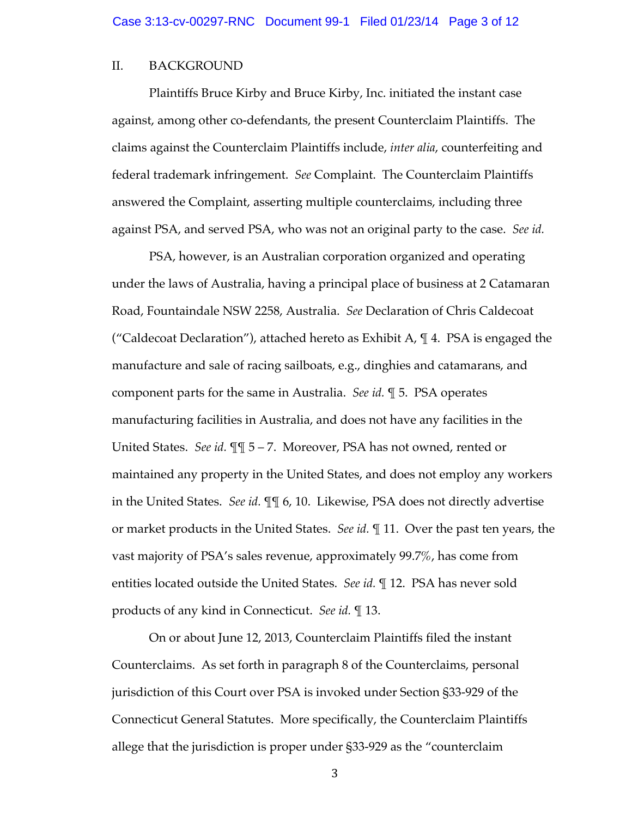### II. BACKGROUND

Plaintiffs Bruce Kirby and Bruce Kirby, Inc. initiated the instant case against, among other co-defendants, the present Counterclaim Plaintiffs. The claims against the Counterclaim Plaintiffs include, *inter alia*, counterfeiting and federal trademark infringement. *See* Complaint. The Counterclaim Plaintiffs answered the Complaint, asserting multiple counterclaims, including three against PSA, and served PSA, who was not an original party to the case. *See id.*

PSA, however, is an Australian corporation organized and operating under the laws of Australia, having a principal place of business at 2 Catamaran Road, Fountaindale NSW 2258, Australia. *See* Declaration of Chris Caldecoat ("Caldecoat Declaration"), attached hereto as Exhibit A, ¶ 4. PSA is engaged the manufacture and sale of racing sailboats, e.g., dinghies and catamarans, and component parts for the same in Australia. *See id.* ¶ 5. PSA operates manufacturing facilities in Australia, and does not have any facilities in the United States. *See id.* ¶¶ 5 – 7. Moreover, PSA has not owned, rented or maintained any property in the United States, and does not employ any workers in the United States. *See id.* ¶¶ 6, 10. Likewise, PSA does not directly advertise or market products in the United States. *See id.* ¶ 11. Over the past ten years, the vast majority of PSA's sales revenue, approximately 99.7%, has come from entities located outside the United States. *See id.* ¶ 12. PSA has never sold products of any kind in Connecticut. *See id.* ¶ 13.

On or about June 12, 2013, Counterclaim Plaintiffs filed the instant Counterclaims. As set forth in paragraph 8 of the Counterclaims, personal jurisdiction of this Court over PSA is invoked under Section §33-929 of the Connecticut General Statutes. More specifically, the Counterclaim Plaintiffs allege that the jurisdiction is proper under §33-929 as the "counterclaim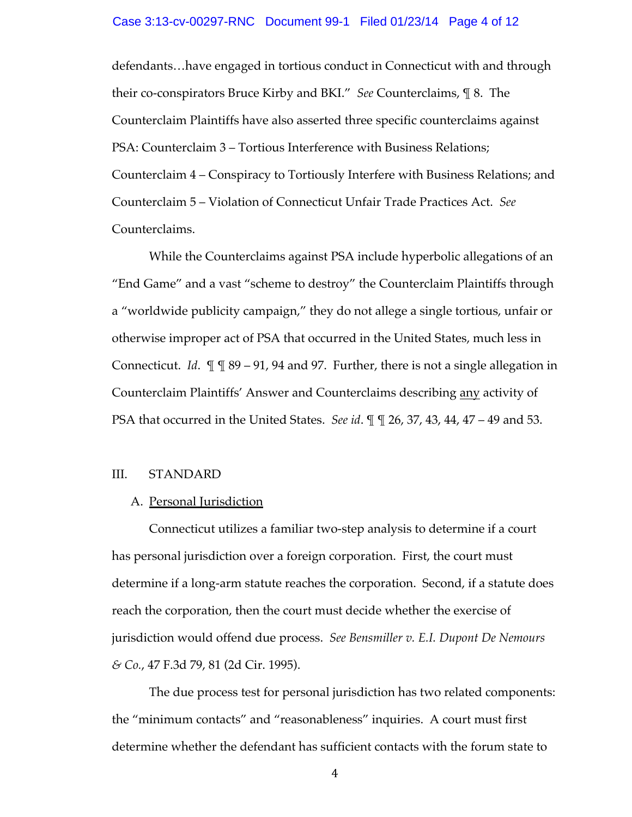defendants…have engaged in tortious conduct in Connecticut with and through their co-conspirators Bruce Kirby and BKI." *See* Counterclaims, ¶ 8. The Counterclaim Plaintiffs have also asserted three specific counterclaims against PSA: Counterclaim 3 – Tortious Interference with Business Relations; Counterclaim 4 – Conspiracy to Tortiously Interfere with Business Relations; and Counterclaim 5 – Violation of Connecticut Unfair Trade Practices Act. *See* Counterclaims.

While the Counterclaims against PSA include hyperbolic allegations of an "End Game" and a vast "scheme to destroy" the Counterclaim Plaintiffs through a "worldwide publicity campaign," they do not allege a single tortious, unfair or otherwise improper act of PSA that occurred in the United States, much less in Connecticut. *Id*. ¶ ¶ 89 – 91, 94 and 97. Further, there is not a single allegation in Counterclaim Plaintiffs' Answer and Counterclaims describing any activity of PSA that occurred in the United States. *See id*. ¶ ¶ 26, 37, 43, 44, 47 – 49 and 53.

### III. STANDARD

### A. Personal Jurisdiction

Connecticut utilizes a familiar two-step analysis to determine if a court has personal jurisdiction over a foreign corporation. First, the court must determine if a long-arm statute reaches the corporation. Second, if a statute does reach the corporation, then the court must decide whether the exercise of jurisdiction would offend due process. *See Bensmiller v. E.I. Dupont De Nemours & Co.*, 47 F.3d 79, 81 (2d Cir. 1995).

The due process test for personal jurisdiction has two related components: the "minimum contacts" and "reasonableness" inquiries. A court must first determine whether the defendant has sufficient contacts with the forum state to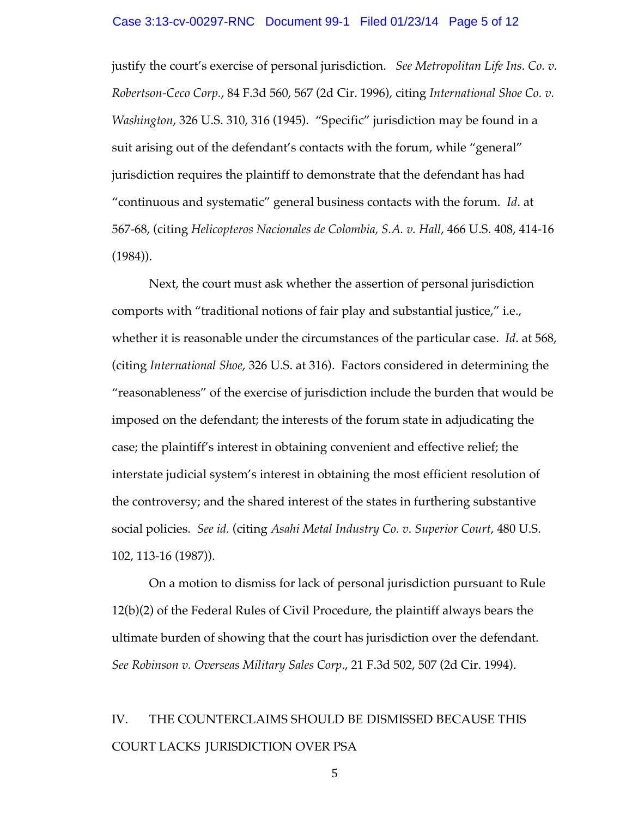justify the court's exercise of personal jurisdiction. *See Metropolitan Life Ins. Co. v. Robertson-Ceco Corp.*, 84 F.3d 560, 567 (2d Cir. 1996), citing *International Shoe Co. v. Washington*, 326 U.S. 310, 316 (1945). "Specific" jurisdiction may be found in a suit arising out of the defendant's contacts with the forum, while "general" jurisdiction requires the plaintiff to demonstrate that the defendant has had "continuous and systematic" general business contacts with the forum. *Id*. at 567-68, (citing *Helicopteros Nacionales de Colombia, S.A. v. Hall*, 466 U.S. 408, 414-16 (1984)).

Next, the court must ask whether the assertion of personal jurisdiction comports with "traditional notions of fair play and substantial justice," i.e., whether it is reasonable under the circumstances of the particular case. *Id*. at 568, (citing *International Shoe*, 326 U.S. at 316). Factors considered in determining the "reasonableness" of the exercise of jurisdiction include the burden that would be imposed on the defendant; the interests of the forum state in adjudicating the case; the plaintiff's interest in obtaining convenient and effective relief; the interstate judicial system's interest in obtaining the most efficient resolution of the controversy; and the shared interest of the states in furthering substantive social policies. *See id.* (citing *Asahi Metal Industry Co. v. Superior Court*, 480 U.S. 102, 113-16 (1987)).

On a motion to dismiss for lack of personal jurisdiction pursuant to Rule 12(b)(2) of the Federal Rules of Civil Procedure, the plaintiff always bears the ultimate burden of showing that the court has jurisdiction over the defendant. *See Robinson v. Overseas Military Sales Corp*., 21 F.3d 502, 507 (2d Cir. 1994).

# IV. THE COUNTERCLAIMS SHOULD BE DISMISSED BECAUSE THIS COURT LACKS JURISDICTION OVER PSA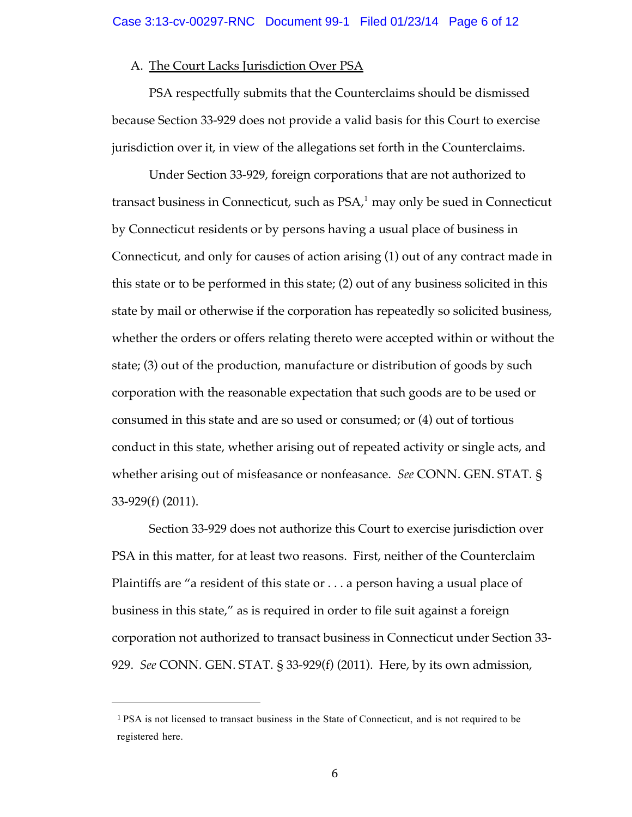### A. The Court Lacks Jurisdiction Over PSA

PSA respectfully submits that the Counterclaims should be dismissed because Section 33-929 does not provide a valid basis for this Court to exercise jurisdiction over it, in view of the allegations set forth in the Counterclaims.

Under Section 33-929, foreign corporations that are not authorized to transact business in Connecticut, such as PSA, <sup>1</sup> may only be sued in Connecticut by Connecticut residents or by persons having a usual place of business in Connecticut, and only for causes of action arising (1) out of any contract made in this state or to be performed in this state; (2) out of any business solicited in this state by mail or otherwise if the corporation has repeatedly so solicited business, whether the orders or offers relating thereto were accepted within or without the state; (3) out of the production, manufacture or distribution of goods by such corporation with the reasonable expectation that such goods are to be used or consumed in this state and are so used or consumed; or (4) out of tortious conduct in this state, whether arising out of repeated activity or single acts, and whether arising out of misfeasance or nonfeasance. *See* CONN. GEN. STAT. § 33-929(f) (2011).

Section 33-929 does not authorize this Court to exercise jurisdiction over PSA in this matter, for at least two reasons. First, neither of the Counterclaim Plaintiffs are "a resident of this state or . . . a person having a usual place of business in this state," as is required in order to file suit against a foreign corporation not authorized to transact business in Connecticut under Section 33- 929. *See* CONN. GEN. STAT. § 33-929(f) (2011). Here, by its own admission,

!!!!!!!!!!!!!!!!!!!!!!!!!!!!!!!!!!!!!!!!!!!!!!!!!!!!!!!

<sup>1</sup> PSA is not licensed to transact business in the State of Connecticut, and is not required to be registered here.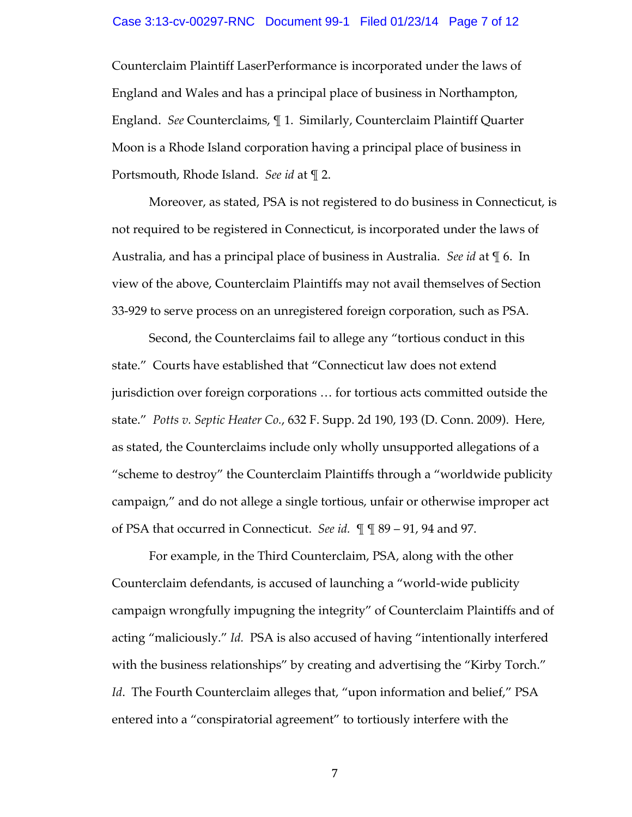### Case 3:13-cv-00297-RNC Document 99-1 Filed 01/23/14 Page 7 of 12

Counterclaim Plaintiff LaserPerformance is incorporated under the laws of England and Wales and has a principal place of business in Northampton, England. *See* Counterclaims, ¶ 1. Similarly, Counterclaim Plaintiff Quarter Moon is a Rhode Island corporation having a principal place of business in Portsmouth, Rhode Island. *See id* at ¶ 2.

Moreover, as stated, PSA is not registered to do business in Connecticut, is not required to be registered in Connecticut, is incorporated under the laws of Australia, and has a principal place of business in Australia. *See id* at ¶ 6. In view of the above, Counterclaim Plaintiffs may not avail themselves of Section 33-929 to serve process on an unregistered foreign corporation, such as PSA.

Second, the Counterclaims fail to allege any "tortious conduct in this state." Courts have established that "Connecticut law does not extend jurisdiction over foreign corporations … for tortious acts committed outside the state." *Potts v. Septic Heater Co.*, 632 F. Supp. 2d 190, 193 (D. Conn. 2009). Here, as stated, the Counterclaims include only wholly unsupported allegations of a "scheme to destroy" the Counterclaim Plaintiffs through a "worldwide publicity campaign," and do not allege a single tortious, unfair or otherwise improper act of PSA that occurred in Connecticut. *See id.* ¶ ¶ 89 – 91, 94 and 97.

For example, in the Third Counterclaim, PSA, along with the other Counterclaim defendants, is accused of launching a "world-wide publicity campaign wrongfully impugning the integrity" of Counterclaim Plaintiffs and of acting "maliciously." *Id.* PSA is also accused of having "intentionally interfered with the business relationships" by creating and advertising the "Kirby Torch." *Id*. The Fourth Counterclaim alleges that, "upon information and belief," PSA entered into a "conspiratorial agreement" to tortiously interfere with the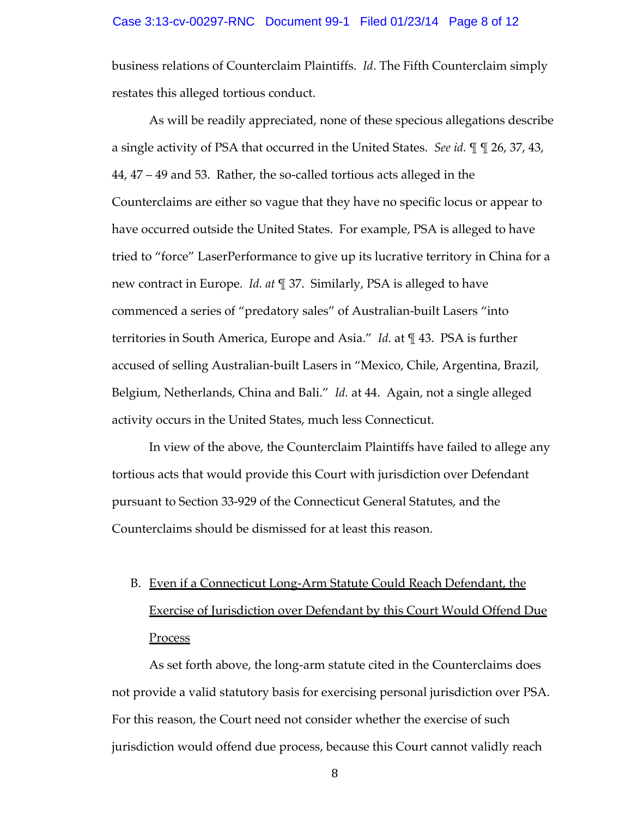### Case 3:13-cv-00297-RNC Document 99-1 Filed 01/23/14 Page 8 of 12

business relations of Counterclaim Plaintiffs. *Id*. The Fifth Counterclaim simply restates this alleged tortious conduct.

As will be readily appreciated, none of these specious allegations describe a single activity of PSA that occurred in the United States. *See id.* ¶ ¶ 26, 37, 43, 44, 47 – 49 and 53. Rather, the so-called tortious acts alleged in the Counterclaims are either so vague that they have no specific locus or appear to have occurred outside the United States. For example, PSA is alleged to have tried to "force" LaserPerformance to give up its lucrative territory in China for a new contract in Europe. *Id. at* ¶ 37. Similarly, PSA is alleged to have commenced a series of "predatory sales" of Australian-built Lasers "into territories in South America, Europe and Asia." *Id.* at ¶ 43. PSA is further accused of selling Australian-built Lasers in "Mexico, Chile, Argentina, Brazil, Belgium, Netherlands, China and Bali." *Id.* at 44. Again, not a single alleged activity occurs in the United States, much less Connecticut.

In view of the above, the Counterclaim Plaintiffs have failed to allege any tortious acts that would provide this Court with jurisdiction over Defendant pursuant to Section 33-929 of the Connecticut General Statutes, and the Counterclaims should be dismissed for at least this reason.

# B. Even if a Connecticut Long-Arm Statute Could Reach Defendant, the Exercise of Jurisdiction over Defendant by this Court Would Offend Due **Process**

As set forth above, the long-arm statute cited in the Counterclaims does not provide a valid statutory basis for exercising personal jurisdiction over PSA. For this reason, the Court need not consider whether the exercise of such jurisdiction would offend due process, because this Court cannot validly reach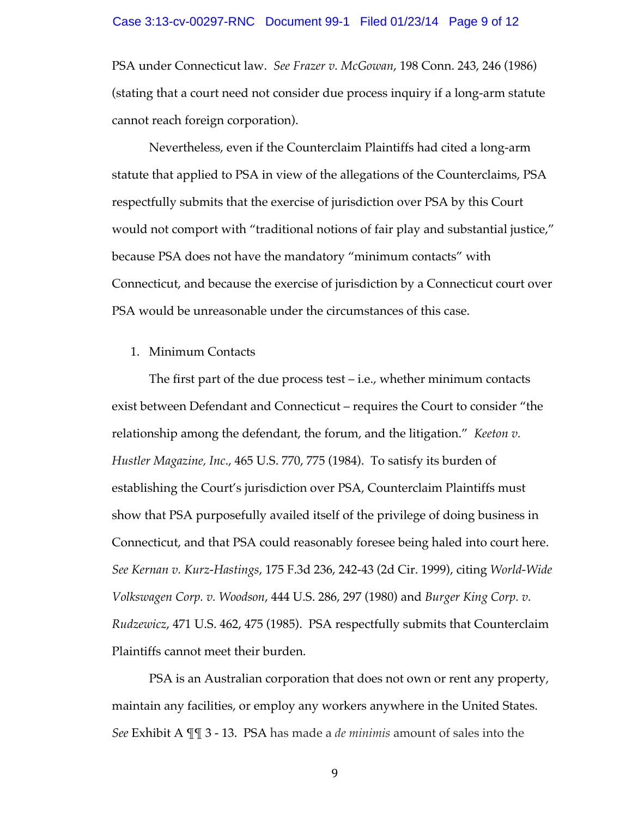### Case 3:13-cv-00297-RNC Document 99-1 Filed 01/23/14 Page 9 of 12

PSA under Connecticut law. *See Frazer v. McGowan*, 198 Conn. 243, 246 (1986) (stating that a court need not consider due process inquiry if a long-arm statute cannot reach foreign corporation).

Nevertheless, even if the Counterclaim Plaintiffs had cited a long-arm statute that applied to PSA in view of the allegations of the Counterclaims, PSA respectfully submits that the exercise of jurisdiction over PSA by this Court would not comport with "traditional notions of fair play and substantial justice," because PSA does not have the mandatory "minimum contacts" with Connecticut, and because the exercise of jurisdiction by a Connecticut court over PSA would be unreasonable under the circumstances of this case.

### 1. Minimum Contacts

The first part of the due process test – i.e., whether minimum contacts exist between Defendant and Connecticut – requires the Court to consider "the relationship among the defendant, the forum, and the litigation." *Keeton v. Hustler Magazine, Inc*., 465 U.S. 770, 775 (1984). To satisfy its burden of establishing the Court's jurisdiction over PSA, Counterclaim Plaintiffs must show that PSA purposefully availed itself of the privilege of doing business in Connecticut, and that PSA could reasonably foresee being haled into court here. *See Kernan v. Kurz-Hastings*, 175 F.3d 236, 242-43 (2d Cir. 1999), citing *World-Wide Volkswagen Corp. v. Woodson*, 444 U.S. 286, 297 (1980) and *Burger King Corp. v. Rudzewicz*, 471 U.S. 462, 475 (1985). PSA respectfully submits that Counterclaim Plaintiffs cannot meet their burden.

PSA is an Australian corporation that does not own or rent any property, maintain any facilities, or employ any workers anywhere in the United States. *See* Exhibit A ¶¶ 3 - 13. PSA has made a *de minimis* amount of sales into the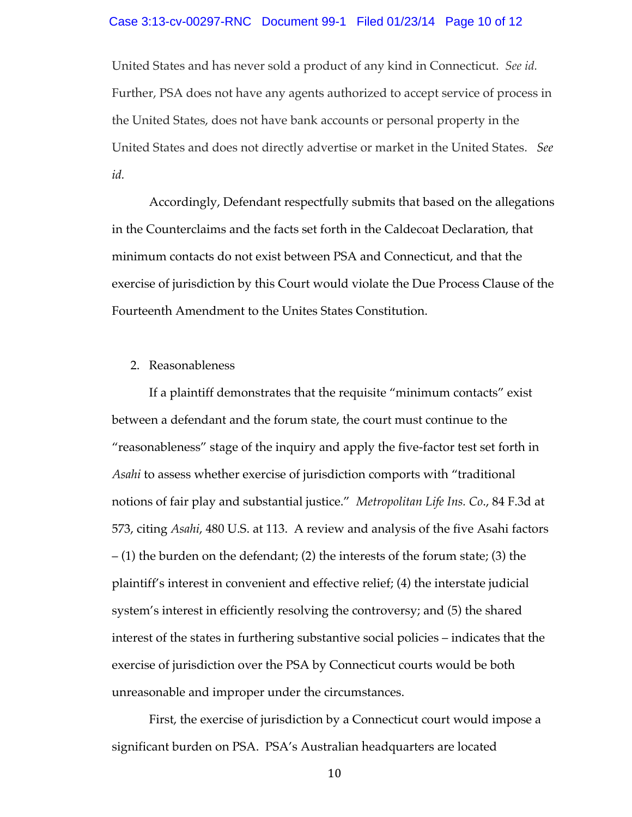### Case 3:13-cv-00297-RNC Document 99-1 Filed 01/23/14 Page 10 of 12

United States and has never sold a product of any kind in Connecticut. *See id.* Further, PSA does not have any agents authorized to accept service of process in the United States, does not have bank accounts or personal property in the United States and does not directly advertise or market in the United States. *See id.*

Accordingly, Defendant respectfully submits that based on the allegations in the Counterclaims and the facts set forth in the Caldecoat Declaration, that minimum contacts do not exist between PSA and Connecticut, and that the exercise of jurisdiction by this Court would violate the Due Process Clause of the Fourteenth Amendment to the Unites States Constitution.

### 2. Reasonableness

If a plaintiff demonstrates that the requisite "minimum contacts" exist between a defendant and the forum state, the court must continue to the "reasonableness" stage of the inquiry and apply the five-factor test set forth in *Asahi* to assess whether exercise of jurisdiction comports with "traditional notions of fair play and substantial justice." *Metropolitan Life Ins. Co*., 84 F.3d at 573, citing *Asahi*, 480 U.S. at 113. A review and analysis of the five Asahi factors – (1) the burden on the defendant; (2) the interests of the forum state; (3) the plaintiff's interest in convenient and effective relief; (4) the interstate judicial system's interest in efficiently resolving the controversy; and (5) the shared interest of the states in furthering substantive social policies – indicates that the exercise of jurisdiction over the PSA by Connecticut courts would be both unreasonable and improper under the circumstances.

First, the exercise of jurisdiction by a Connecticut court would impose a significant burden on PSA. PSA's Australian headquarters are located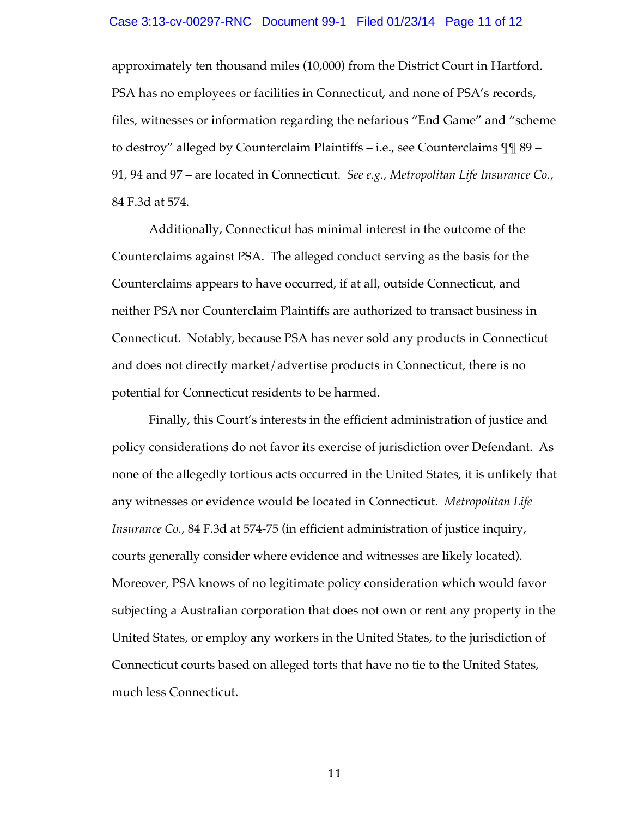### Case 3:13-cv-00297-RNC Document 99-1 Filed 01/23/14 Page 11 of 12

approximately ten thousand miles (10,000) from the District Court in Hartford. PSA has no employees or facilities in Connecticut, and none of PSA's records, files, witnesses or information regarding the nefarious "End Game" and "scheme to destroy" alleged by Counterclaim Plaintiffs – i.e., see Counterclaims ¶¶ 89 – 91, 94 and 97 – are located in Connecticut. *See e.g., Metropolitan Life Insurance Co.*, 84 F.3d at 574.

Additionally, Connecticut has minimal interest in the outcome of the Counterclaims against PSA. The alleged conduct serving as the basis for the Counterclaims appears to have occurred, if at all, outside Connecticut, and neither PSA nor Counterclaim Plaintiffs are authorized to transact business in Connecticut. Notably, because PSA has never sold any products in Connecticut and does not directly market/advertise products in Connecticut, there is no potential for Connecticut residents to be harmed.

Finally, this Court's interests in the efficient administration of justice and policy considerations do not favor its exercise of jurisdiction over Defendant. As none of the allegedly tortious acts occurred in the United States, it is unlikely that any witnesses or evidence would be located in Connecticut. *Metropolitan Life Insurance Co.*, 84 F.3d at 574-75 (in efficient administration of justice inquiry, courts generally consider where evidence and witnesses are likely located). Moreover, PSA knows of no legitimate policy consideration which would favor subjecting a Australian corporation that does not own or rent any property in the United States, or employ any workers in the United States, to the jurisdiction of Connecticut courts based on alleged torts that have no tie to the United States, much less Connecticut.